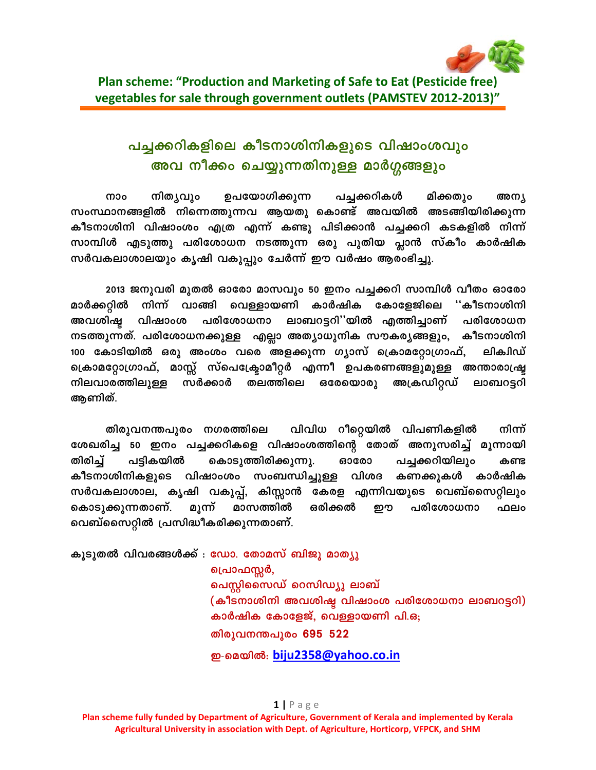

## പച്ചക്കറികളിലെ കീടനാശിനികളുടെ വിഷാംശവും അവ നീക്കം ചെയ്യുന്നതിനുള്ള മാർഗ്ഗങ്ങളും

നാം നിത്യവും ഉപയോഗിക്കുന്ന പച്ചക്കറികൾ മിക്കതും അന്യ സംസ്ഥാനങ്ങളിൽ നിന്നെത്തുന്നവ ആയതു കൊണ്ട് അവയിൽ അടങ്ങിയിരിക്കുന്ന കീടനാശിനി വിഷാംശം എത്ര എന്ന് കണ്ടു പിടിക്കാൻ പച്ചക്കറി കടകളിൽ നിന്ന് സാമ്പിൾ എടുത്തു പരിശോധന നടത്തുന്ന ഒരു പുതിയ പ്ലാൻ സ്കീം കാർഷിക സർവകലാശാലയും കൃഷി വകുപ്പും ചേർന്ന് ഈ വർഷം ആരംഭിച്ചു.

2013 ജനുവരി മുതൽ ഓരോ മാസവും 50 ഇനം പച്ചക്കറി സാമ്പിൾ വീതം ഓരോ കാർഷിക കോളേജിലെ ''കീടനാശിനി മാർക്കറ്റിൽ നിന്ന് വാങ്ങി വെള്ളായണി പരിശോധനാ ലാബറട്ടറി''യിൽ എത്തിച്ചാണ് അവശിഷ്ട വിഷാംശ പരിശോധന നടത്തുന്നത്. പരിശോധനക്കുള്ള എല്ലാ അത്യാധുനിക സൗകര്യങ്ങളും, കീടനാശിനി 100 കോടിയിൽ ഒരു അംശം വരെ അളക്കുന്ന ഗ്യാസ് ക്രൊമറ്റോഗ്രാഫ്, ലിക്വിഡ് ക്രൊമറ്റോഗ്രാഫ്, മാസ്സ് സ്പെക്ട്രോമീറ്റർ എന്നീ ഉപകരണങ്ങളുമുള്ള അന്താരാഷ്ട്ര നിലവാരത്തിലുള്ള സർക്കാർ തലത്തിലെ **ഒരേയൊരു** അക്രഡിറ്റഡ് ലാബറട്ടറി ആണിത്.

തിരുവനന്തപുരം നഗരത്തിലെ വിവിധ റീറ്റെയിൽ വിപണികളിൽ നിന്ന് ശേഖരിച്ച 50 ഇനം പച്ചക്കറികളെ വിഷാംശത്തിന്റെ തോത് അനുസരിച്ച് മൂന്നായി തിരിച്ച് കൊടുത്തിരിക്കുന്നു. പടികയിൽ പച്ചക്കറിയിലും ഓരോ കണ്ട കീടനാശിനികളുടെ വിഷാംശം സംബന്ധിച്ചുള്ള വിശദ കണക്കുകൾ കാർഷിക സർവകലാശാല, കൃഷി വകുപ്പ്, കിസ്സാൻ കേരള എന്നിവയുടെ വെബ്സൈറ്റിലും കൊടുക്കുന്നതാണ്. മൂന്ന് ഒരിക്കൽ പരിശോധനാ മാസത്തിൽ றை ഫലം വെബ്സൈറ്റിൽ പ്രസിദ്ധീകരിക്കുന്നതാണ്.

കൂടുതൽ വിവരങ്ങൾക്ക് : ഡോ. തോമസ് ബിജു മാത്യു പ്രൊഫസ്സർ, പെസ്റ്റിസൈഡ് റെസിഡ്യു ലാബ് (കീടനാശിനി അവശിഷ്ട വിഷാംശ പരിശോധനാ ലാബറട്ടറി) കാർഷിക കോളേജ്, വെള്ളായണി പി.ഒ; തിരുവനന്തപുരം 695 522 ഇ-മെയിൽ: biju2358@yahoo.co.in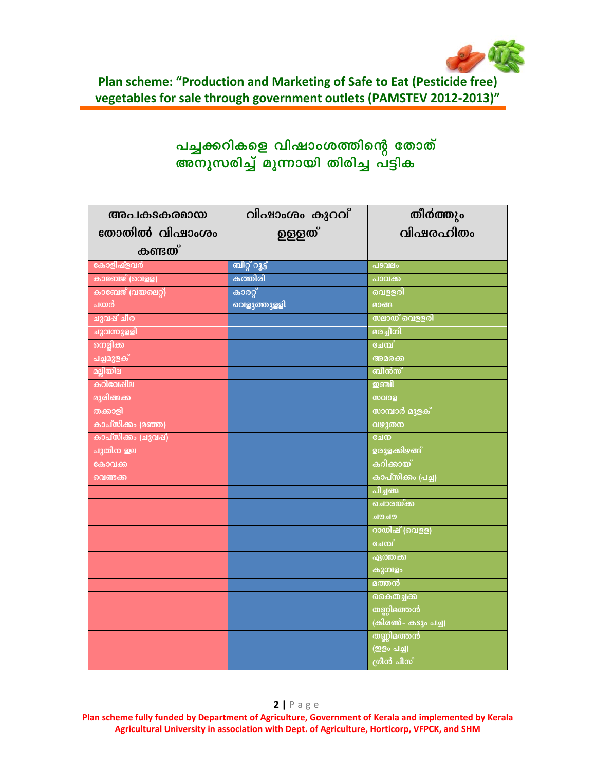

Plan scheme: "Production and Marketing of Safe to Eat (Pesticide free) vegetables for sale through government outlets (PAMSTEV 2012-2013)"

# പച്ചക്കറികളെ വിഷാംശത്തിന്റെ തോത്<br>അനുസരിച്ച് മൂന്നായി തിരിച്ച പട്ടിക

| അപകടകരമായ          | വിഷാംശം കുറവ്  | തീർത്തും                  |
|--------------------|----------------|---------------------------|
| തോതിൽ വിഷാംശം      | <u>ഉള്ള</u> ത് | വിഷരം റിതം                |
| <b>കണ്ടത്</b>      |                |                           |
| കോളിഷ്ളവർ          | ബീറ്റ് റൂട്ട്  | പടവലം                     |
| കാബേജ് (വെളള)      | കത്തിരി        | പാവക്ക                    |
| കാബേജ് (വയലെറ്റ്)  | കാരറ്റ്        | വെള്ളരി                   |
| <u>പയർ</u>         | വെളുത്തുള്ളി   | മാങ്ങ                     |
| ചുവപ്പ് ചീര        |                | <b>സലാ</b> ഡ് വെളളരി      |
| ചുവന്നുള്ളി        |                | മരച്ചീനി                  |
| നെല്ലിക്ക          |                | ചേമ്പ്                    |
| പച്ചമുളക്          |                | അമരക്ക                    |
| മല്ലിയില           |                | ബീൻസ്                     |
| കറിവേഷില           |                | ஊவி                       |
| മുരിങ്ങക്ക         |                | സവാള                      |
| തക്കാളി            |                | <b>സാമ്പാർ മുളക്</b>      |
| കാപ്സിക്കം (മഞ്ഞ)  |                | വഴുതന                     |
| കാപ്സിക്കം (ചുവഷ്) |                | ചേന                       |
| പുതിന ഇല           |                | <mark>ഉരുളകിഴങ്</mark> ങ് |
| കോവക്ക             |                | കറിക്കായ്                 |
| വെണ്ടക്ക           |                | കാപ്സിക്കം (പച്ച)         |
|                    |                | പീച്ചങ്ങ                  |
|                    |                | ചൊരയ്ക്ക                  |
|                    |                | ചൗചൗ                      |
|                    |                | റായിഷ് (വെളള)             |
|                    |                | ചേമ്പ്                    |
|                    |                | ഏത്തക്ക                   |
|                    |                | കുമ്പളം                   |
|                    |                | മത്തൻ                     |
|                    |                | കൈതച്ചക്ക                 |
|                    |                | തണ്ണിമത്തൻ                |
|                    |                | (കിരൺ- കടും പച്ച)         |
|                    |                | തണ്ണിമത്തൻ                |
|                    |                | (ഇളം പച്ച)                |
|                    |                | ശ്രീൻ പീസ്                |

Plan scheme fully funded by Department of Agriculture, Government of Kerala and implemented by Kerala Agricultural University in association with Dept. of Agriculture, Horticorp, VFPCK, and SHM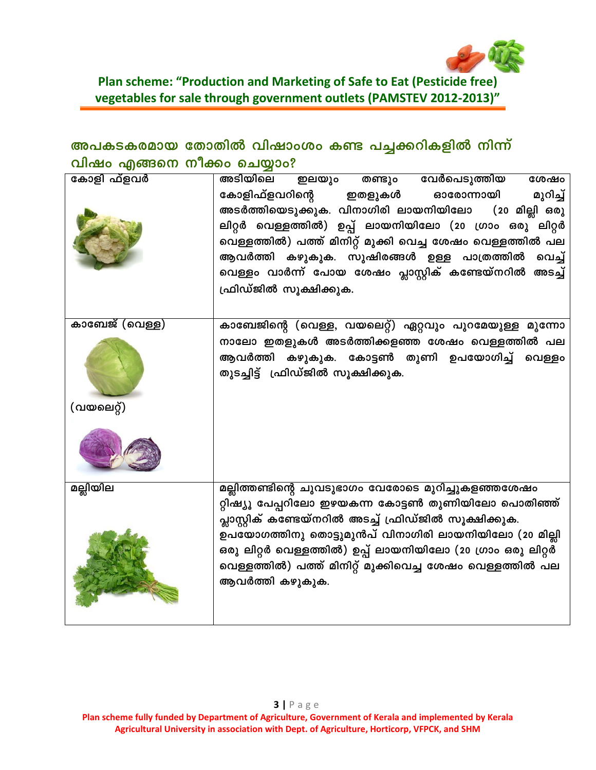

#### Plan scheme: "Production and Marketing of Safe to Eat (Pesticide free) vegetables for sale through government outlets (PAMSTEV 2012-2013)"

## അപകടകരമായ തോതിൽ വിഷാംശം കണ്ട പച്ചക്കറികളിൽ നിന്ന് വിഷം എങ്ങനെ നീക്കം ചെയ്യാം?

| കോളി ഫ്ളവർ            | അടിയിലെ ഇലയും<br>വേർപെടുത്തിയ<br>തണ്ടും<br>ശേഷം                                     |
|-----------------------|-------------------------------------------------------------------------------------|
|                       | കോളിഫ്ളവറിന്റെ<br>ഇതളുകൾ<br>ഓരോന്നായി<br>മുറിച്ച്                                   |
|                       | അടർത്തിയെടുക്കുക. വിനാഗിരി ലായനിയിലോ<br>(20 മില്ലി ഒരു                              |
|                       | ലിറ്റർ വെള്ളത്തിൽ) ഉപ്പ് ലായനിയിലോ (20 ഗ്രാം ഒരു ലിറ്റർ                             |
|                       | വെള്ളത്തിൽ) പത്ത് മിനിറ്റ് മുക്കി വെച്ച ശേഷം വെള്ളത്തിൽ പല                          |
|                       | ആവർത്തി കഴുകുക. സുഷിരങ്ങൾ ഉള്ള പാത്രത്തിൽ വെച്ച്                                    |
|                       | വെള്ളം വാർന്ന് പോയ ശേഷം പ്ലാസ്റ്റിക് കണ്ടേയ്നറിൽ അടച്ച്                             |
|                       | ഫ്രിഡ്ജിൽ സൂക്ഷിക്കുക.                                                              |
|                       |                                                                                     |
| <u>കാബേജ് (വെള്ള)</u> | കാബേജിന്റെ (വെള്ള, വയലെറ്റ്) ഏറ്റവും പുറമേയുള്ള മൂന്നോ                              |
|                       | നാലോ ഇതളുകൾ അടർത്തിക്കളഞ്ഞ ശേഷം വെള്ളത്തിൽ പല                                       |
|                       | ആവർത്തി കഴുകുക. കോട്ടൺ തുണി ഉപയോഗിച്ച് വെള്ളം<br>തുടച്ചിട്ട് ഫ്രിഡ്ജിൽ സൂക്ഷിക്കുക. |
|                       |                                                                                     |
|                       |                                                                                     |
| (വയലെറ്റ്)            |                                                                                     |
|                       |                                                                                     |
| മല്ലിയില              | മല്ലിത്തണ്ടിന്റെ ചുവടുഭാഗം വേരോടെ മുറിച്ചുകളഞ്ഞശേഷം                                 |
|                       | റ്റിഷ്യൂ പേപ്പറിലോ ഇഴയകന്ന കോട്ടൺ തുണിയിലോ പൊതിഞ്ഞ്                                 |
|                       | പ്ലാസ്റ്റിക് കണ്ടേയ്നറിൽ അടച്ച് ഫ്രിഡ്ജിൽ സൂക്ഷിക്കുക.                              |
|                       | ഉപയോഗത്തിനു തൊട്ടുമുൻപ് വിനാഗിരി ലായനിയിലോ (20 മില്ലി                               |
|                       | ഒരു ലിറ്റർ വെള്ളത്തിൽ) ഉപ്പ് ലായനിയിലോ (20 ഗ്രാം ഒരു ലിറ്റർ                         |
|                       | വെള്ളത്തിൽ) പത്ത് മിനിറ്റ് മുക്കിവെച്ച ശേഷം വെള്ളത്തിൽ പല<br>ആവർത്തി കഴുകുക.        |
|                       |                                                                                     |
|                       |                                                                                     |
|                       |                                                                                     |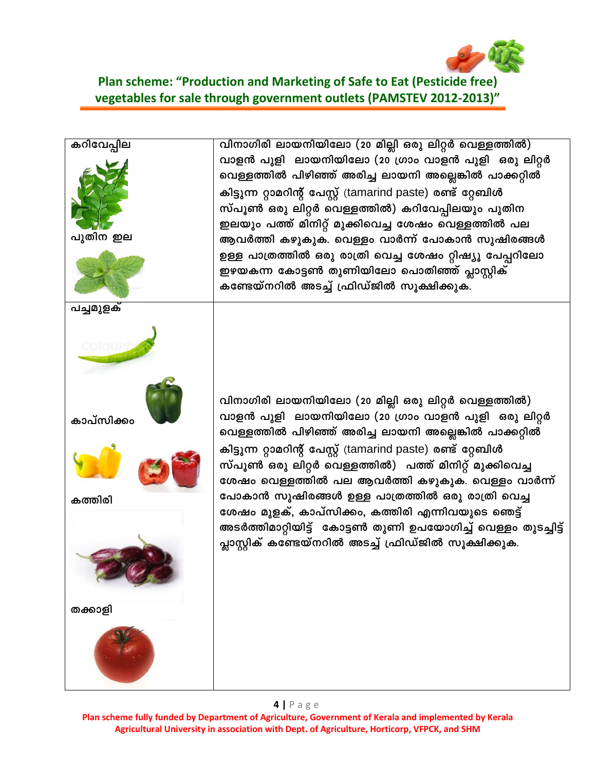

#### **Plan scheme: "Production and Marketing of Safe to Eat (Pesticide free) vegetables for sale through government outlets (PAMSTEV 2012-2013)"**



**Plan scheme fully funded by Department of Agriculture, Government of Kerala and implemented by Kerala Agricultural University in association with Dept. of Agriculture, Horticorp, VFPCK, and SHM**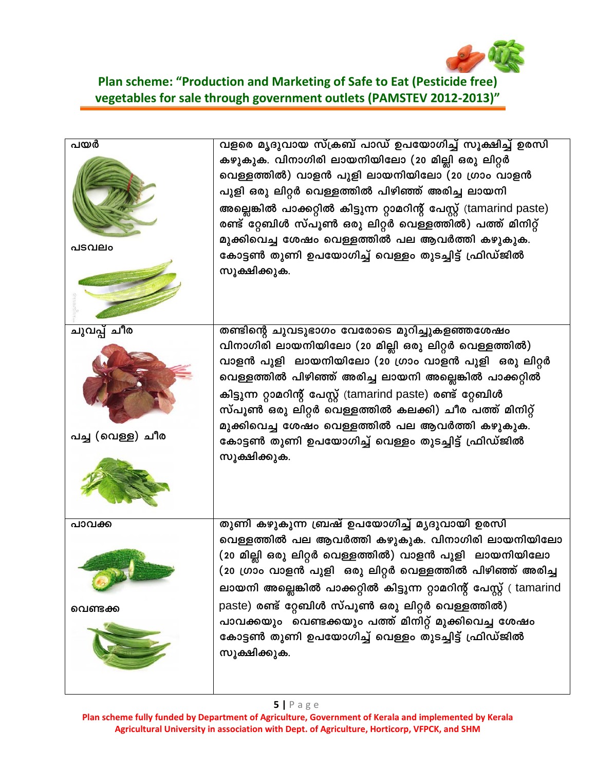

### **Plan scheme: "Production and Marketing of Safe to Eat (Pesticide free) vegetables for sale through government outlets (PAMSTEV 2012-2013)"**

| പയർ<br>പടവലം                    | വളരെ മൃദുവായ സ്ക്രബ് പാഡ് ഉപയോഗിച്ച് സൂക്ഷിച്ച് ഉരസി<br>കഴുകുക. വിനാഗിരി ലായനിയിലോ (20 മില്ലി ഒരു ലിറ്റർ<br>വെള്ളത്തിൽ) വാളൻ പുളി ലായനിയിലോ (20 ഗ്രാം വാളൻ<br>പുളി ഒരു ലിറ്റർ വെള്ളത്തിൽ പിഴിഞ്ഞ് അരിച്ച ലായനി<br>അല്ലെങ്കിൽ പാക്കറ്റിൽ കിട്ടുന്ന റ്റാമറിന്റ് പേസ്റ്റ് (tamarind paste)<br>രണ്ട് റ്റേബിൾ സ്പൂൺ ഒരു ലിറ്റർ വെള്ളത്തിൽ) പത്ത് മിനിറ്റ്<br>മുക്കിവെച്ച ശേഷം വെള്ളത്തിൽ പല ആവർത്തി കഴുകുക.<br>കോട്ടൺ തുണി ഉപയോഗിച്ച് വെള്ളം തുടച്ചിട്ട് ഫ്രിഡ്ജിൽ<br>സൂക്ഷിക്കുക.             |
|---------------------------------|-------------------------------------------------------------------------------------------------------------------------------------------------------------------------------------------------------------------------------------------------------------------------------------------------------------------------------------------------------------------------------------------------------------------------------------------------------------------------------------------|
| ചുവപ്പ് ചീര<br>പച്ച (വെള്ള) ചീര | തണ്ടിന്റെ ചുവടുഭാഗം വേരോടെ മുറിച്ചുകളഞ്ഞശേഷം<br>വിനാഗിരി ലായനിയിലോ (20 മില്ലി ഒരു ലിറ്റർ വെള്ളത്തിൽ)<br>വാളൻ പുളി  ലായനിയിലോ (20 ഗ്രാം വാളൻ പുളി  ഒരു ലിറ്റർ<br>വെള്ളത്തിൽ പിഴിഞ്ഞ് അരിച്ച ലായനി അല്ല <mark>െങ്കി</mark> ൽ പാക്കറ്റിൽ<br>കിട്ടുന്ന റ്റാമറിന്റ് പേസ്റ്റ് (tamarind paste) രണ്ട് റ്റേബിൾ<br>സ്പൂൺ ഒരു ലിറ്റർ വെള്ളത്തിൽ കലക്കി) ചീര പത്ത് മിനിറ്റ്<br>മുക്കിവെച്ച ശേഷം വെള്ളത്തിൽ പല ആവർത്തി കഴുകുക.<br>കോട്ടൺ തുണി ഉപയോഗിച്ച് വെള്ളം തുടച്ചിട്ട് ഫ്രിഡ്ജിൽ<br>സൂക്ഷിക്കുക. |
| പാവക്ക<br>വെണ്ടക്ക              | തുണി കഴുകുന്ന ബ്രഷ് ഉപയോഗിച്ച് മൃദുവായി ഉരസി<br>വെള്ളത്തിൽ പല ആവർത്തി കഴുകുക. വിനാഗിരി ലായനിയിലോ<br>(20 മില്ലി ഒരു ലിറ്റർ വെള്ളത്തിൽ) വാളൻ പുളി  ലായനിയിലോ<br>(20 ഗ്രാം വാളൻ പുളി  ഒരു ലിറ്റർ വെള്ളത്തിൽ പിഴിഞ്ഞ് അരിച്ച<br>ലായനി അല്ലെങ്കിൽ പാക്കറ്റിൽ കിട്ടുന്ന റ്റാമറിന്റ് പേസ്റ്റ് ( tamarind<br>paste) രണ്ട് റ്റേബിൾ സ്പൂൺ ഒരു ലിറ്റർ വെള്ളത്തിൽ)<br>പാവക്കയും വെണ്ടക്കയും പത്ത് മിനിറ്റ് മുക്കിവെച്ച ശേഷം<br>കോട്ടൺ തുണി ഉപയോഗിച്ച് വെള്ളം തുടച്ചിട്ട് ഫ്രിഡ്ജിൽ<br>സൂക്ഷിക്കുക.    |

#### **5 |** Page

**Plan scheme fully funded by Department of Agriculture, Government of Kerala and implemented by Kerala Agricultural University in association with Dept. of Agriculture, Horticorp, VFPCK, and SHM**